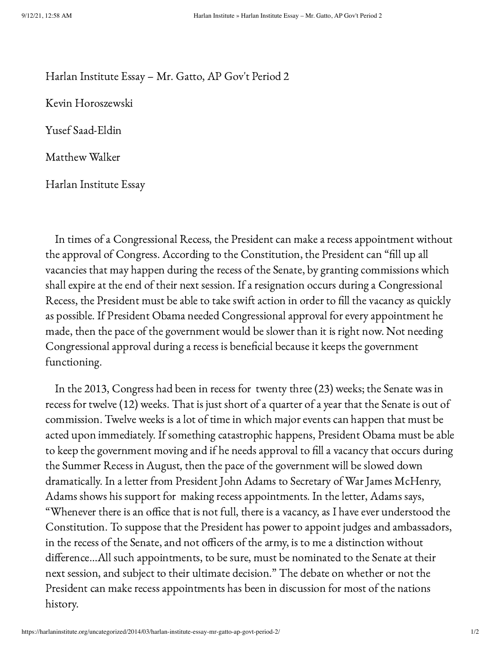## Harlan Institute Essay – Mr. Gatto, AP Gov't Period 2

Kevin Horoszewski

Yusef Saad-Eldin

Matthew Walker

Harlan Institute Essay

In times of a Congressional Recess, the President can make a recess appointment without the approval of Congress. According to the Constitution, the President can "fill up all vacancies that may happen during the recess of the Senate, by granting commissions which shall expire at the end of their next session. If a resignation occurs during a Congressional Recess, the President must be able to take swift action in order to fill the vacancy as quickly as possible. If President Obama needed Congressional approval for every appointment he made, then the pace of the government would be slower than it is right now. Not needing Congressional approval during a recess is beneficial because it keeps the government functioning.

In the 2013, Congress had been in recess for twenty three (23) weeks; the Senate was in recess for twelve (12) weeks. That is just short of a quarter of a year that the Senate is out of commission. Twelve weeks is a lot of time in which major events can happen that must be acted upon immediately. If something catastrophic happens, President Obama must be able to keep the government moving and if he needs approval to fill a vacancy that occurs during the Summer Recess in August, then the pace of the government will be slowed down dramatically. In a letter from President John Adams to Secretary of War James McHenry, Adams shows his support for making recess appointments. In the letter, Adams says, "Whenever there is an office that is not full, there is a vacancy, as I have ever understood the Constitution. To suppose that the President has power to appoint judges and ambassadors, in the recess of the Senate, and not officers of the army, is to me a distinction without difference…All such appointments, to be sure, must be nominated to the Senate at their next session, and subject to their ultimate decision." The debate on whether or not the President can make recess appointments has been in discussion for most of the nations history.